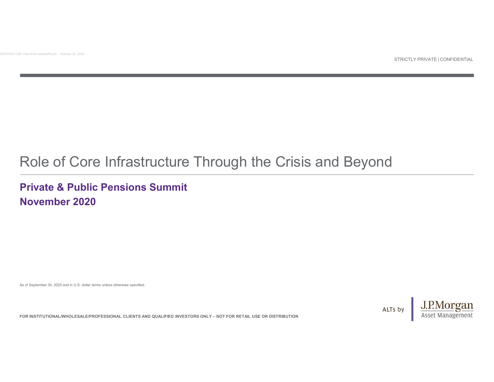# FOR INSTITUTIONAL WHOLE SALE RADIO FOR INSTITUTION IS A DELTA CONTROL OF CONTROL OF CONTROL OF CONTROL OF CONTROL OF CONTROL OF CONTROL OF CONTROL OF CONTROL OF CONTROL OF CONTROL OF CONTROL ONLY – NOT FOR RETAIL USE OR D Role of Core Infrastructure Through the Crisis and Beyond

## Private & Public Pensions Summit November 2020

As of September 30, 2020 and in U.S. dollar terms unless otherwise specified.

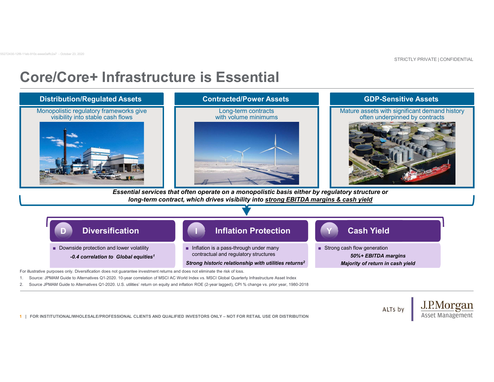# Core/Core+ Infrastructure is Essential 55272430-12f8-11eb-910c-eeee0affc2a7 - October 23, 2020

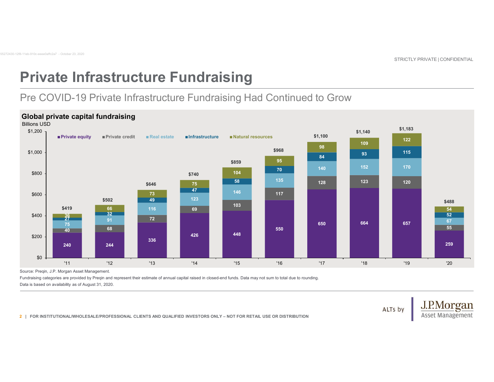# Private Infrastructure Fundraising 55272430-12f8-11eb-910c-eeee0affc2a7 - October 23, 2020

## Pre COVID-19 Private Infrastructure Fundraising Had Continued to Grow

### Global private capital fundraising



Source: Preqin, J.P. Morgan Asset Management.

Data is based on availability as of August 31, 2020.

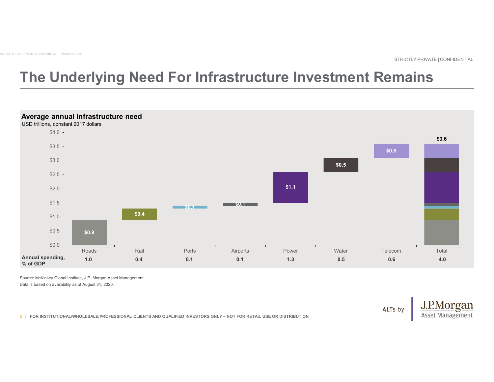# The Underlying Need For Infrastructure Investment Remains STRICTLY PRIVATE | CONFIDENTIAL 55272430-12f8-11eb-910c-eeee0affc2a7 - October 23, 2020



Source: McKinsey Global Institute, J.P. Morgan Asset Management. Data is based on availability as of August 31, 2020.

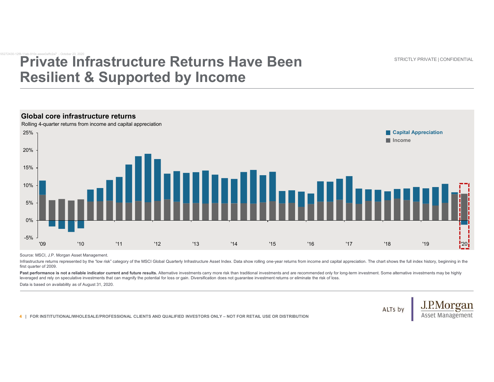STRICTLY PRIVATE | CONFIDENTIAL

## Private Infrastructure Returns Have Been Resilient & Supported by Income **Private Infrastructure Returns Have<br>Resilient & Supported by Income**



Source: MSCI, J.P. Morgan Asset Management.

first quarter of 2009.

Past performance is not a reliable indicator current and future results. Alternative investments carry more risk than traditional investments and are recommended only for long-term investment. Some alternative investments leveraged and rely on speculative investments that can magnify the potential for loss or gain. Diversification does not guarantee investment returns or eliminate the risk of loss.

Data is based on availability as of August 31, 2020.

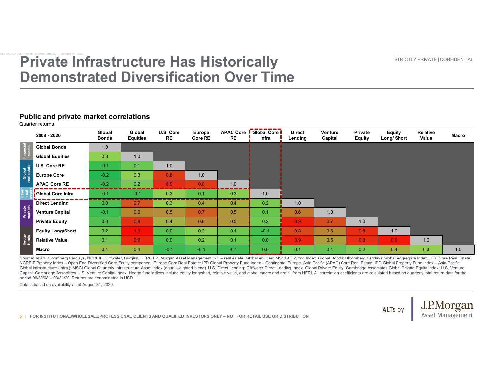STRICTLY PRIVATE | CONFIDENTIAL

## Private Infrastructure Has Historically Demonstrated Diversification Over Time **Private Infrastructure Has Historical<br>Demonstrated Diversification Over**

### Public and private market correlations

| <b>Private Infrastructure Has Historically</b><br><b>Demonstrated Diversification Over Time</b><br><b>Public and private market correlations</b><br>Quarter returns<br>APAC Core   Global Core  <br>Global<br>Global<br>U.S. Core<br><b>Europe</b><br><b>Direct</b><br>Venture<br>Private<br><b>Equity</b><br>Relative<br>2008 - 2020<br><b>RE</b><br><b>Bonds</b><br><b>Equities</b><br>RE<br>Core RE<br>Infra<br>Lending<br>Capital<br>Long/Short<br>Value<br><b>Equity</b><br><b>Global Bonds</b><br>1.0<br><b>Global Equities</b><br>0.3<br>1.0 | STRICTLY PRIVATE   CONFIDENTIAL<br>U.S. Core RE<br>1.0<br>$-0.1$<br>0.1<br><b>Europe Core</b><br>$-0.2$<br>0.3<br>0.8<br>1.0<br><b>APAC Core RE</b><br>$-0.2$<br>0.2<br>0.9<br>0.8<br>1.0<br><b>START START</b><br>Global Core Infra<br>$-0.1$<br>$-0.1$<br>0.3<br>0.1<br>0.3<br>1.0<br>----<br>---<br>---<br><b>Direct Lending</b><br>0.2<br>0.0<br>0.7<br>0.4<br>0.4<br>1.0<br>0.3<br>0.1<br><b>Venture Capital</b><br>$-0.1$<br>0.6<br>0.5<br>0.7<br>0.5<br>0.6<br>1.0<br>0.2<br>0.0<br>0.9<br>0.7<br><b>Private Equity</b><br>0.8<br>0.4<br>0.6<br>0.5<br>1.0<br>0.2<br>$-0.1$<br>0.8<br>0.6<br><b>Equity Long/Short</b><br>1.0<br>0.0<br>0.3<br>0.1<br>0.8<br>1.0 | 0.0<br>0.9<br><b>Relative Value</b><br>0.1<br>0.9<br>0.0<br>0.2<br>0.1<br>0.5<br>0.8<br>0.9 <sub>1</sub><br>1.0 |
|-----------------------------------------------------------------------------------------------------------------------------------------------------------------------------------------------------------------------------------------------------------------------------------------------------------------------------------------------------------------------------------------------------------------------------------------------------------------------------------------------------------------------------------------------------|------------------------------------------------------------------------------------------------------------------------------------------------------------------------------------------------------------------------------------------------------------------------------------------------------------------------------------------------------------------------------------------------------------------------------------------------------------------------------------------------------------------------------------------------------------------------------------------------------------------------------------------------------------------------|-----------------------------------------------------------------------------------------------------------------|
|                                                                                                                                                                                                                                                                                                                                                                                                                                                                                                                                                     |                                                                                                                                                                                                                                                                                                                                                                                                                                                                                                                                                                                                                                                                        | Macro                                                                                                           |
|                                                                                                                                                                                                                                                                                                                                                                                                                                                                                                                                                     |                                                                                                                                                                                                                                                                                                                                                                                                                                                                                                                                                                                                                                                                        |                                                                                                                 |
|                                                                                                                                                                                                                                                                                                                                                                                                                                                                                                                                                     |                                                                                                                                                                                                                                                                                                                                                                                                                                                                                                                                                                                                                                                                        |                                                                                                                 |
|                                                                                                                                                                                                                                                                                                                                                                                                                                                                                                                                                     |                                                                                                                                                                                                                                                                                                                                                                                                                                                                                                                                                                                                                                                                        |                                                                                                                 |
|                                                                                                                                                                                                                                                                                                                                                                                                                                                                                                                                                     |                                                                                                                                                                                                                                                                                                                                                                                                                                                                                                                                                                                                                                                                        |                                                                                                                 |
|                                                                                                                                                                                                                                                                                                                                                                                                                                                                                                                                                     |                                                                                                                                                                                                                                                                                                                                                                                                                                                                                                                                                                                                                                                                        |                                                                                                                 |
|                                                                                                                                                                                                                                                                                                                                                                                                                                                                                                                                                     |                                                                                                                                                                                                                                                                                                                                                                                                                                                                                                                                                                                                                                                                        |                                                                                                                 |
|                                                                                                                                                                                                                                                                                                                                                                                                                                                                                                                                                     |                                                                                                                                                                                                                                                                                                                                                                                                                                                                                                                                                                                                                                                                        |                                                                                                                 |
|                                                                                                                                                                                                                                                                                                                                                                                                                                                                                                                                                     |                                                                                                                                                                                                                                                                                                                                                                                                                                                                                                                                                                                                                                                                        |                                                                                                                 |
|                                                                                                                                                                                                                                                                                                                                                                                                                                                                                                                                                     |                                                                                                                                                                                                                                                                                                                                                                                                                                                                                                                                                                                                                                                                        |                                                                                                                 |
|                                                                                                                                                                                                                                                                                                                                                                                                                                                                                                                                                     |                                                                                                                                                                                                                                                                                                                                                                                                                                                                                                                                                                                                                                                                        |                                                                                                                 |
|                                                                                                                                                                                                                                                                                                                                                                                                                                                                                                                                                     |                                                                                                                                                                                                                                                                                                                                                                                                                                                                                                                                                                                                                                                                        |                                                                                                                 |
| Global<br>real estate                                                                                                                                                                                                                                                                                                                                                                                                                                                                                                                               |                                                                                                                                                                                                                                                                                                                                                                                                                                                                                                                                                                                                                                                                        |                                                                                                                 |
|                                                                                                                                                                                                                                                                                                                                                                                                                                                                                                                                                     |                                                                                                                                                                                                                                                                                                                                                                                                                                                                                                                                                                                                                                                                        |                                                                                                                 |
|                                                                                                                                                                                                                                                                                                                                                                                                                                                                                                                                                     |                                                                                                                                                                                                                                                                                                                                                                                                                                                                                                                                                                                                                                                                        |                                                                                                                 |
|                                                                                                                                                                                                                                                                                                                                                                                                                                                                                                                                                     |                                                                                                                                                                                                                                                                                                                                                                                                                                                                                                                                                                                                                                                                        |                                                                                                                 |
| <b>Private</b><br>markets                                                                                                                                                                                                                                                                                                                                                                                                                                                                                                                           |                                                                                                                                                                                                                                                                                                                                                                                                                                                                                                                                                                                                                                                                        |                                                                                                                 |
|                                                                                                                                                                                                                                                                                                                                                                                                                                                                                                                                                     |                                                                                                                                                                                                                                                                                                                                                                                                                                                                                                                                                                                                                                                                        |                                                                                                                 |
|                                                                                                                                                                                                                                                                                                                                                                                                                                                                                                                                                     |                                                                                                                                                                                                                                                                                                                                                                                                                                                                                                                                                                                                                                                                        |                                                                                                                 |
|                                                                                                                                                                                                                                                                                                                                                                                                                                                                                                                                                     |                                                                                                                                                                                                                                                                                                                                                                                                                                                                                                                                                                                                                                                                        |                                                                                                                 |
| Hedge<br>funds                                                                                                                                                                                                                                                                                                                                                                                                                                                                                                                                      |                                                                                                                                                                                                                                                                                                                                                                                                                                                                                                                                                                                                                                                                        | 0.0<br>0.2<br>0.4<br>0.4<br>$-0.1$<br>$-0.1$<br>$-0.1$<br>0.1<br>0.1<br>0.4<br>0.3<br>1.0<br>Macro              |

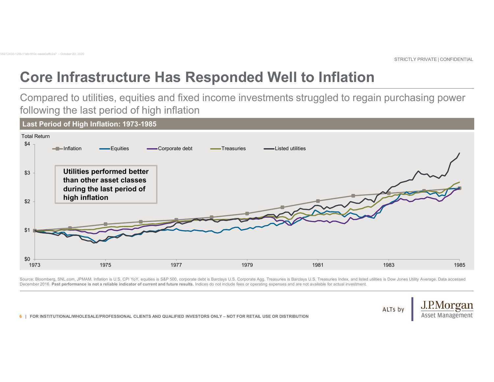# Core Infrastructure Has Responded Well to Inflation 55272430-12f8-11eb-910c-eeee0affc2a7 - October 23, 2020

Compared to utilities, equities and fixed income investments struggled to regain purchasing power following the last period of high inflation STRICTLY PRIVATE | CONFIDENTIAL



Source: Bloomberg, SNL.com, JPMAM. Inflation is U.S. CPI YoY, equities is S&P 500, corporate debt is Barclays U.S. Corporate Agg, Treasuries is Barclays U.S. Treasuries Index, and listed utilities is Dow Jones Utility Aver December 2016. Past performance is not a reliable indicator of current and future results. Indices do not include fees or operating expenses and are not available for actual investment.

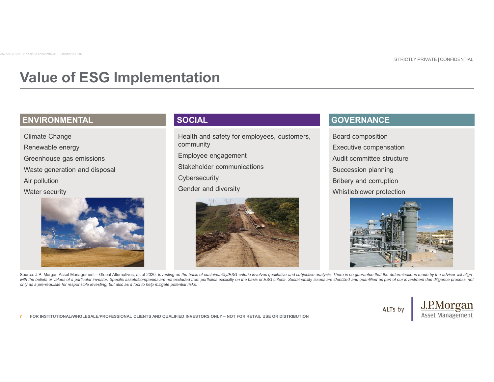# Value of ESG Implementation 55272430-12f8-11eb-910c-eeee0affc2a7 - October 23, 2020

## ENVIRONMENTAL SOCIAL GOVERNANCE

Climate Change Renewable energy Greenhouse gas emissions Waste generation and disposal Air pollution Water security



Health and safety for employees, customers, community

Employee engagement

Stakeholder communications

**Cybersecurity** 

Gender and diversity



Board composition Executive compensation Audit committee structure Succession planning Bribery and corruption Whistleblower protection



only as a pre-requisite for responsible investing, but also as a tool to help mitigate potential risks.

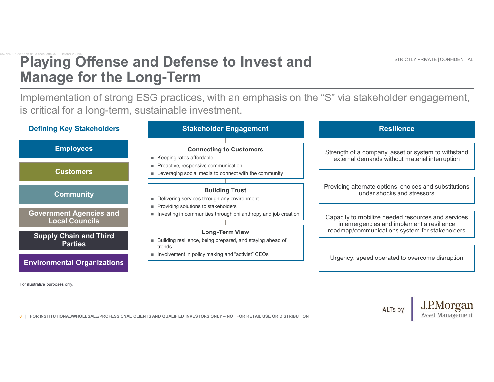## Playing Offense and Defense to Invest and Manage for the Long-Term Playing Offense and Defense to Inve<br>Manage for the Long-Term

Implementation of strong ESG practices, with an emphasis on the "S" via stakeholder engagement, is critical for a long-term, sustainable investment. STRICTLY PRIVATE | CONFIDENTIAL

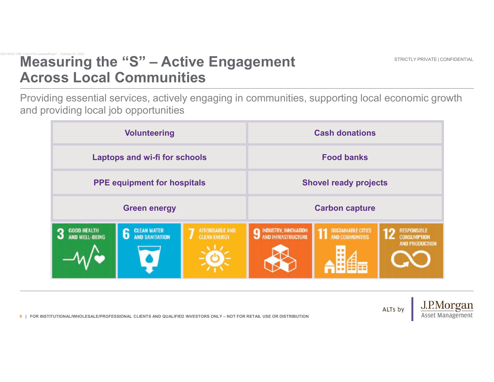# Measuring the "S" – Active Engagement<br>Across Local Communities<br>Providing essential services, actively engaging in communities, supporting lo Across Local Communities Measuring the "S" – Active Engager<br>Across Local Communities

Providing essential services, actively engaging in communities, supporting local economic growth and providing local job opportunities STRICTLY PRIVATE | CONFIDENTIAL

|  | <b>Measuring the "S" - Active Engagement</b><br>STRICTLY PRIVATE   CONFIDENTIAL<br><b>Across Local Communities</b>       |                                                                                                                                           |                                          |                                                                                                     |                                              |                                                                   |  |  |
|--|--------------------------------------------------------------------------------------------------------------------------|-------------------------------------------------------------------------------------------------------------------------------------------|------------------------------------------|-----------------------------------------------------------------------------------------------------|----------------------------------------------|-------------------------------------------------------------------|--|--|
|  |                                                                                                                          | Providing essential services, actively engaging in communities, supporting local economic growth<br>and providing local job opportunities |                                          |                                                                                                     |                                              |                                                                   |  |  |
|  | <b>Volunteering</b><br><b>Laptops and wi-fi for schools</b><br><b>PPE equipment for hospitals</b><br><b>Green energy</b> |                                                                                                                                           |                                          | <b>Cash donations</b><br><b>Food banks</b><br><b>Shovel ready projects</b><br><b>Carbon capture</b> |                                              |                                                                   |  |  |
|  |                                                                                                                          |                                                                                                                                           |                                          |                                                                                                     |                                              |                                                                   |  |  |
|  |                                                                                                                          |                                                                                                                                           |                                          |                                                                                                     |                                              |                                                                   |  |  |
|  |                                                                                                                          |                                                                                                                                           |                                          |                                                                                                     |                                              |                                                                   |  |  |
|  | <b>GOOD HEALTH<br/>AND WELL-BEING</b><br>3                                                                               | <b>CLEAN WATER<br/>AND SANITATION</b>                                                                                                     | AFFORDABLE AND<br>CLEAN ENERGY<br>A.L.A. | 9 INDUSTRY, INNOVATION<br><b>K.A.</b>                                                               | <b>1</b> SUSTAINABLE CITIES<br>l an I<br>出鱼苗 | <b>RESPONSIBLE</b><br><b>CONSUMPTION</b><br><b>AND PRODUCTION</b> |  |  |
|  |                                                                                                                          | 9   FOR INSTITUTIONAL/WHOLESALE/PROFESSIONAL CLIENTS AND QUALIFIED INVESTORS ONLY – NOT FOR RETAIL USE OR DISTRIBUTION                    |                                          |                                                                                                     |                                              | J.P.Morgan<br>ALTs by                                             |  |  |

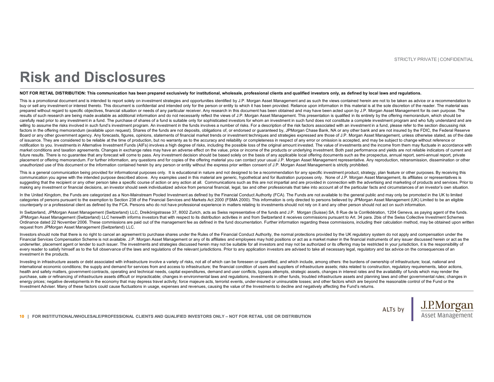## Risk and Disclosures

STRICTLY PRIVATE | CONFIDENTIAL<br>NOT FOR RETAIL DISTRIBUTION: This communication has been prepared exclusively for institutional, wholesale, professional clients and qualified investors only, as defined by local laws and re RISK and DISCIDSUITES<br>NOT DESERVATE CONFIDENTIAL<br>NOT OR RETAIL DISTRIBUTON: This communication has been prepared acclusively for institutional, wholesais, professional clients and qualified investors only, as defined by l STRICTLY PRIVATE | CONFIDENTIAL<br>NOT OR REFAIL DISTRIBUTION: This communication has been prepared exclusively for institutional, wholesale, professional clients and qualified investors only, as defined by beta lluw and regu prepared without regard to specific objectives, financial situation or needs of any particular receiver. Any research in this document has been obtained and may have been acted upon by J.P. Morgan Asset Management for its own purpose. The results of such research are being made available as additional information and do not necessarily reflect the views of J.P. Morgan Asset Management. This presentation is qualified in its entirety by the offering memorandu carefully read prior to any investment in a fund. The purchase of shares of a fund is suitable only for sophisticated investors for whom an investment in such fund does not constitute a complete investment program and who willing to assume the risks involved in such fund's investment program. An investment in the funds involves a number of risks. For a description of the risk factors associated with an investment in a fund, please refer to factors in the offering memorandum (available upon request). Shares of the funds are not deposits, obligations of, or endorsed or guaranteed by, JPMorgan Chase Bank, NA or any other bank and are not insured by the FDIC, th Board or any other government agency. Any forecasts, figures, opinions, statements of financial market trends or investment techniques and strategies expressed are those of J.P. Morgan Asset Management, unless otherwise st STROTLY PRANE (CONFIDENTIAL<br>
NOT OR RESERVATE (CONFIDENTIAL<br>
NOT OR RESERVATE CONFIDENTIAL<br>
NOT OR RESERVATE CONFIDENTIAL<br>
NOTE AREA DISTRIBUTION THE COMMUNISHIPS IS A CONFIDENTIAL CONFIDENTIAL CONFIDENTIAL<br>
The is a cons notification to you. Investments in Alternative Investment Funds (AIFs) involves a high degree of risks, including the possible loss of the original amount invested. The value of investments and the income from them may fl market conditions and taxation agreements. Changes in exchange rates may have an adverse effect on the value, price or income of the products or underlying investment. Both past performance and yields are not reliable indicators of current and future results. There is no guarantee that any forecast will come to pass. Any investment decision should be based solely on the basis of any applicable local offering documents such as the prospectus, annual report, semi-annual report, private placement or offering memorandum. For further information, any questions and for copies of the offering material you can contact your usual J.P. Morgan Asset Management representative. Any reproduction, retransmission, dissemination or other unauthorized use of this document or the information contained herein by any person or entity without the express prior written consent of J.P. Morgan Asset Management is strictly prohibited.  $\begin{small} & \textbf{SRS R} \textbf{QNS} \textbf{QNS} \textbf{QNS} \textbf{QNS} \textbf{QNS} \textbf{QNS} \textbf{QNS} \textbf{QNS} \textbf{QNS} \textbf{QNS} \textbf{QNS} \textbf{QNS} \textbf{QNS} \textbf{QNS} \textbf{QNS} \textbf{QNS} \textbf{QNS} \textbf{QNS} \textbf{QNS} \textbf{QNS} \textbf{QNS} \textbf{QNS} \textbf{QNS} \textbf{QNS} \textbf{QNS} \textbf{QNS} \textbf{QNS} \textbf{QNS} \textbf{QNS} \textbf$ communication you agree with the intended purpose described above. Any examples used in this material are generic, hypothetical and for illustration purposes only. None of J.P. Morgan Asset Management, its affiliates or representatives is  $\begin{minipage}[t]{0.98cm} \textbf{0.88cm} \textbf{0.88cm} \textbf{0.88cm} \textbf{0.88cm} \textbf{0.88cm} \textbf{0.88cm} \textbf{0.88cm} \textbf{0.88cm} \textbf{0.88cm} \textbf{0.88cm} \textbf{0.88cm} \textbf{0.88cm} \textbf{0.88cm} \textbf{0.88cm} \textbf{0.88cm} \textbf{0.88cm} \textbf{0.88cm} \textbf{0.88cm} \textbf{0.88cm} \textbf{0.88cm} \textbf{0$ **RISK and DISCIOSUPES**<br>
The second of the second counterparty of the FCA interactional counterparty of the FCA interactional counterparty of the FCA interactional counterparty of the FCA interactional counterparty of the In Switzerland, JPMorgan Asset Management (Switzerland) LLC, Dreikönigstrasse 37, 8002 Zurich, acts as Swiss representative of the funds and J.P. Morgan (Suisse) SA, 8 Rue de la Confédération, 1204 Geneva, as paying agent of the funds. **EXERCIA SUBARUM AND PROPERTY AND ARRESTS TO AND ARRESTS TO ANNOUNCED THE CONTRACT CONTRACT CONTRACT CONTRACT CONTRACT CONTRACT CONTRACT CONTRACT CONTRACT CONTRACT CONTRACT CONTRACT CONTRACT CONTRACT CONTRACT CONTRACT CON** er in a northeaster of the commentent as a set of the material and the set of the set of the set of the set of the set of the set of the set of the set of the set of the set of the set of the set of the set of the set of The Experiment of the specific states in the control of the specific states in the specific states in the specific states in the specific states in the specific states in the specific states in the specific states in the we are the some of the sound of the sound of the solid are the solid are the solid are the solid are the solid are the solid are the solid are the solid are the solid are the solid are the solid are the solid are the so  $\begin{smallmatrix} \textbf{a} & \textbf{b} & \textbf{c} \\ \textbf{c} & \textbf{d} & \textbf{d} \\ \textbf{d} & \textbf{e} & \textbf{d} \\ \textbf{e} & \textbf{e} & \textbf{e} \\ \textbf{e} & \textbf{e} & \textbf{e} \\ \textbf{e} & \textbf{e} & \textbf{e} \\ \textbf{e} & \textbf{e} & \textbf{e} \\ \textbf{e} & \textbf{e} & \textbf{e} \\ \textbf{e} & \textbf{e} & \textbf{e} \\ \textbf{e} & \textbf{e} & \textbf{e} \\ \textbf{$ 

making any investment or financial decisions, an investor should seek individualized advice from personal financial, legal, tax and other professionals that take into account all of the particular facts and circumstances o

In the United Kingdom, the Funds are categorized as a Non-Mainstream Pooled Investment as defined by the Financial Conduct Authority (FCA). The Funds are not available to the general public and may only be promoted in the categories of persons pursuant to the exemption to Section 238 of the Financial Services and Markets Act 2000 (FSMA 2000). This information is only directed to persons believed by JPMorgan Asset Management (UK) Limited to

JPMorgan Asset Management (Switzerland) LLC herewith informs investors that with respect to its distribution activities in and from Switzerland it receives commissions pursuant to Art. 34 para. 2bis of the Swiss Collective Ordinance dated 22 November 2006. These commissions are paid out of the management fee as defined in the fund documentation. Further information regarding these commissions, including their calculation method, may be obtai request from JPMorgan Asset Management (Switzerland) LLC.

Investors should note that there is no right to cancel an agreement to purchase shares under the Rules of the Financial Conduct Authority, the normal protections provided by the UK regulatory system do not apply and compen underwriter, placement agent or lender to such issuer. The investments and strategies discussed herein may not be suitable for all investors and may not be authorized or its offering may be restricted in your iurisdiction, investment in the products.

<sup>10</sup> | FOR INSTITUTIONAL/WHOLESALE/PROFESSIONAL CLIENTS AND QUALIFIED INVESTORS ONLY – NOT FOR RETAIL USE OR DISTRIBUTION purchase, sale or refinancing of infrastructure assets difficult or impracticable; changes in environmental laws and regulations, investments in other funds, troubled infrastructure assets and planning laws and other gover energy prices: negative developments in the economy that may depress travel activity: force majeure acts, terrorist events, under-insured or uninsurable losses; and other factors which are beyond the reasonable control of Investment Adviser. Many of these factors could cause fluctuations in usage, expenses and revenues, causing the value of the Investments to decline and negatively affecting the Fund's returns.